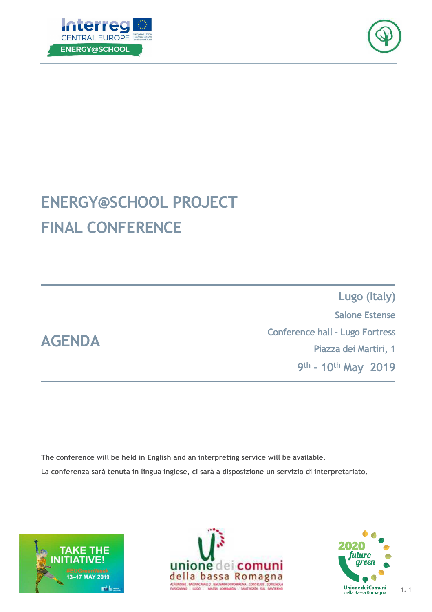



## **ENERGY@SCHOOL PROJECT FINAL CONFERENCE**

**Lugo (Italy) Salone Estense Conference hall – Lugo Fortress Piazza dei Martiri, 1 9th - 10th May 2019**

**The conference will be held in English and an interpreting service will be available. La conferenza sarà tenuta in lingua inglese, ci sarà a disposizione un servizio di interpretariato.** 



**AGENDA**





**1. 1**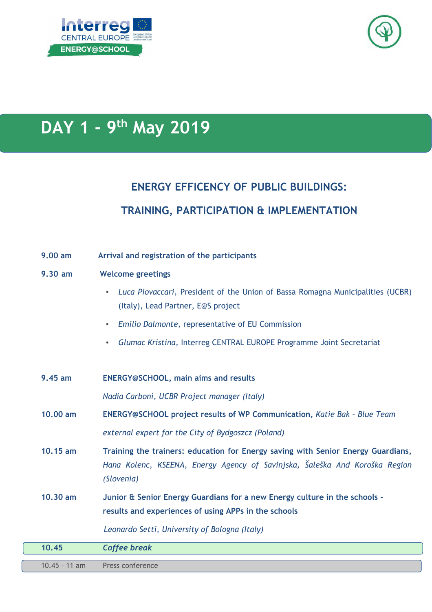

# **DAY 1 - 9th May 2019**

### **ENERGY EFFICENCY OF PUBLIC BUILDINGS: TRAINING, PARTICIPATION & IMPLEMENTATION**

| 9.00 am         | Arrival and registration of the participants                                                                                                                                  |
|-----------------|-------------------------------------------------------------------------------------------------------------------------------------------------------------------------------|
| 9.30 am         | <b>Welcome greetings</b>                                                                                                                                                      |
|                 | Luca Piovaccari, President of the Union of Bassa Romagna Municipalities (UCBR)<br>(Italy), Lead Partner, E@S project                                                          |
|                 | Emilio Dalmonte, representative of EU Commission                                                                                                                              |
|                 | Glumac Kristina, Interreg CENTRAL EUROPE Programme Joint Secretariat<br>$\bullet$                                                                                             |
|                 |                                                                                                                                                                               |
| 9.45 am         | <b>ENERGY@SCHOOL, main aims and results</b>                                                                                                                                   |
|                 | Nadia Carboni, UCBR Project manager (Italy)                                                                                                                                   |
| 10,00 am        | ENERGY@SCHOOL project results of WP Communication, Katie Bak - Blue Team                                                                                                      |
|                 | external expert for the City of Bydgoszcz (Poland)                                                                                                                            |
| 10.15 am        | Training the trainers: education for Energy saving with Senior Energy Guardians,<br>Hana Kolenc, KSEENA, Energy Agency of Savinjska, Šaleška And Koroška Region<br>(Slovenia) |
| 10,30 am        | Junior & Senior Energy Guardians for a new Energy culture in the schools -<br>results and experiences of using APPs in the schools                                            |
|                 | Leonardo Setti, University of Bologna (Italy)                                                                                                                                 |
| 10.45           | <b>Coffee break</b>                                                                                                                                                           |
| $10.45 - 11$ am | Press conference                                                                                                                                                              |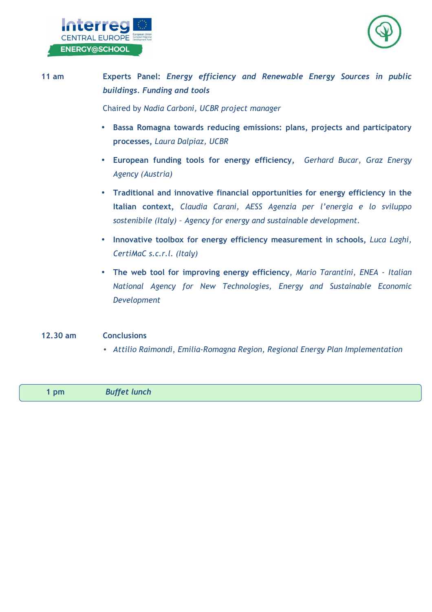



#### **11 am Experts Panel:** *Energy efficiency and Renewable Energy Sources in public buildings. Funding and tools* Chaired by *Nadia Carboni, UCBR project manager*  • **Bassa Romagna towards reducing emissions: plans, projects and participatory processes,** *Laura Dalpiaz, UCBR* • **European funding tools for energy efficiency,** *Gerhard Bucar, Graz Energy Agency (Austria)* • **Traditional and innovative financial opportunities for energy efficiency in the Italian context,** *Claudia Carani, AESS Agenzia per l'energia e lo sviluppo sostenibile (Italy) – Agency for energy and sustainable development.* • **Innovative toolbox for energy efficiency measurement in schools,** *Luca Laghi, CertiMaC s.c.r.l. (Italy)* • **The web tool for improving energy efficiency**, *Mario Tarantini, ENEA - Italian National Agency for New Technologies, Energy and Sustainable Economic Development*

#### **12.30 am Conclusions**

• *Attilio Raimondi*, *Emilia-Romagna Region, Regional Energy Plan Implementation* 

**1 pm** *Buffet lunch*